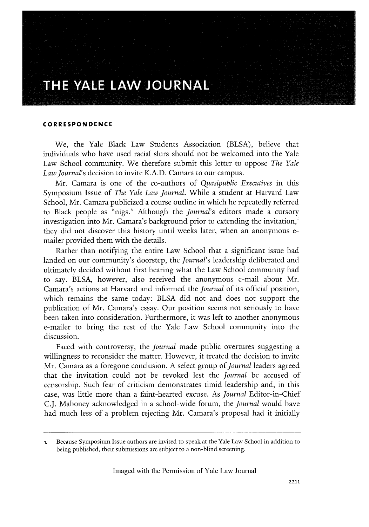## THE YALE LAW JOURNAL

## **CORRESPONDENCE**

We, the Yale Black Law Students Association (BLSA), believe that individuals who have used racial slurs should not be welcomed into the Yale Law School community. We therefore submit this letter to oppose *The Yale Law Journal's* decision to invite K.A.D. Camara to our campus.

Mr. Camara is one of the co-authors of *Quasipublic Executives* in this Symposium Issue of *The Yale Law Journal.* While a student at Harvard Law School, Mr. Camara publicized a course outline in which he repeatedly referred to Black people as "nigs." Although the *Journal's* editors made a cursory investigation into Mr. Camara's background prior to extending the invitation,' they did not discover this history until weeks later, when an anonymous emailer provided them with the details.

Rather than notifying the entire Law School that a significant issue had landed on our community's doorstep, the *Journal's* leadership deliberated and ultimately decided without first hearing what the Law School community had to say. BLSA, however, also received the anonymous e-mail about Mr. Camara's actions at Harvard and informed the *Journal* of its official position, which remains the same today: BLSA did not and does not support the publication of Mr. Camara's essay. Our position seems not seriously to have been taken into consideration. Furthermore, it was left to another anonymous e-mailer to bring the rest of the Yale Law School community into the discussion.

Faced with controversy, the *Journal* made public overtures suggesting a willingness to reconsider the matter. However, it treated the decision to invite Mr. Camara as a foregone conclusion. A select group of *Journal* leaders agreed that the invitation could not be revoked lest the *Journal* be accused of censorship. Such fear of criticism demonstrates timid leadership and, in this case, was little more than a faint-hearted excuse. As *Journal* Editor-in-Chief C.J. Mahoney acknowledged in a school-wide forum, the *Journal* would have had much less of a problem rejecting Mr. Camara's proposal had it initially

Imaged with the Permission of Yale Law Journal

**<sup>1.</sup>** Because Symposium Issue authors are invited to speak at the Yale Law School in addition to being published, their submissions are subject to a non-blind screening.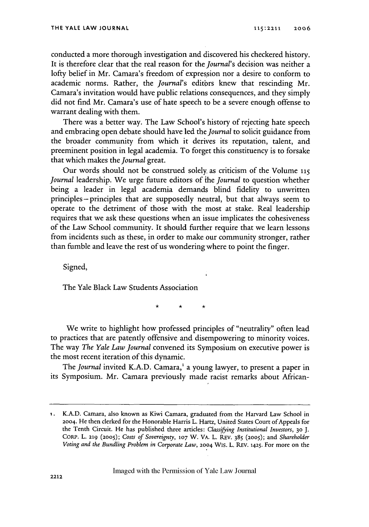conducted a more thorough investigation and discovered his checkered history. It is therefore clear that the real reason for the *Journal's* decision was neither a lofty belief in Mr. Camara's freedom of expression nor a desire to conform to academic norms. Rather, the *Journal's* editbrs knew that rescinding Mr. Camara's invitation would have public relations consequences, and they simply did not find Mr. Camara's use of hate speech to be a severe enough offense to warrant dealing with them.

There was a better way. The Law School's history of rejecting hate speech and embracing open debate should have led the *Journal* to solicit guidance from the broader community from which it derives its reputation, talent, and preeminent position in legal academia. To forget this constituency is to forsake that which makes the *Journal* great.

Our words should not be construed solely, as criticism of the Volume **<sup>115</sup>** *Journal* leadership. We urge future editors of ihe *Journal* to question whether being a leader in legal academia demands blind fidelity to unwritten principles -principles that are supposedly neutral, but that always seem to operate to the detriment of those with the most at stake. Real leadership requires that we ask these questions when an issue implicates the cohesiveness of the Law School community. It should further require that we learn lessons from incidents such as these, in order to make our community stronger, rather than fumble and leave the rest of us wondering where to point the finger.

Signed,

The Yale Black Law Students Association

 $\star$  $\star$  $\star$ 

We write to highlight how professed principles of "neutrality" often lead to practices that are patently offensive and disempowering to minority voices. The way *The Yale Law Journal* convened its Symposium on executive power is the most recent iteration of this dynamic.

The *Journal* invited K.A.D. Camara,' a young lawyer, to present a paper in its Symposium. Mr. Camara previously made racist remarks about African-

Imaged with the Permission of Yale Law Journal <sup>2212</sup>

**<sup>1.</sup>** K.A.D. Camara, also known as Kiwi Camara, graduated from the Harvard Law School in 2004. He then clerked for the Honorable Harris L. Hartz, United States Court of Appeals for the Tenth Circuit. He has published three articles: *ClassiJying Institutional Investors,* **30** J. CORP. L. 219 **(2005);** *Costs of Sovereignty,* **107** W. VA. L. REV. 385 **(2005);** and *Shareholder Voting and the Bundling Problem in Corporate Law,* 2004 WIs. L. REV. 1425. For more on the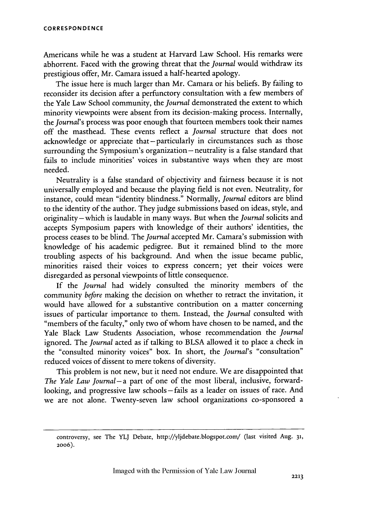Americans while he was a student at Harvard Law School. His remarks were abhorrent. Faced with the growing threat that the *Journal* would withdraw its prestigious offer, Mr. Camara issued a half-hearted apology.

The issue here is much larger than Mr. Camara or his beliefs. By failing to reconsider its decision after a perfunctory consultation with a few members of the Yale Law School community, the *Journal* demonstrated the extent to which minority viewpoints were absent from its decision-making process. Internally, the *Journal's* process was poor enough that fourteen members took their names off the masthead. These events reflect a *Journal* structure that does not acknowledge or appreciate that-particularly in circumstances such as those surrounding the Symposium's organization – neutrality is a false standard that fails to include minorities' voices in substantive ways when they are most needed.

Neutrality is a false standard of objectivity and fairness because it is not universally employed and because the playing field is not even. Neutrality, for instance, could mean "identity blindness." Normally, *Journal* editors are blind to the identity of the author. They judge submissions based on ideas, style, and originality-which is laudable in many ways. But when the *Journal* solicits and accepts Symposium papers with knowledge of their authors' identities, the process ceases to be blind. The *Journal* accepted Mr. Camara's submission with knowledge of his academic pedigree. But it remained blind to the more troubling aspects of his background. And when the issue became public, minorities raised their voices to express concern; yet their voices were disregarded as personal viewpoints of little consequence.

If the *Journal* had widely consulted the minority members of the community *before* making the decision on whether to retract the invitation, it would have allowed for a substantive contribution on a matter concerning issues of particular importance to them. Instead, the *Journal* consulted with "members of the faculty," only two of whom have chosen to be named, and the Yale Black Law Students Association, whose recommendation the *Journal* ignored. The *Journal* acted as if talking to BLSA allowed it to place a check in the "consulted minority voices" box. In short, the *Journal's* "consultation" reduced voices of dissent to mere tokens of diversity.

This problem is not new, but it need not endure. We are disappointed that *The Yale Law Journal* **-a** part of one of the most liberal, inclusive, forwardlooking, and progressive law schools - fails as a leader on issues of race. And we are not alone. Twenty-seven law school organizations co-sponsored a

controversy, see The YLJ Debate, http://yljdebate.blogspot.com/ (last visited Aug. 31, 2006).